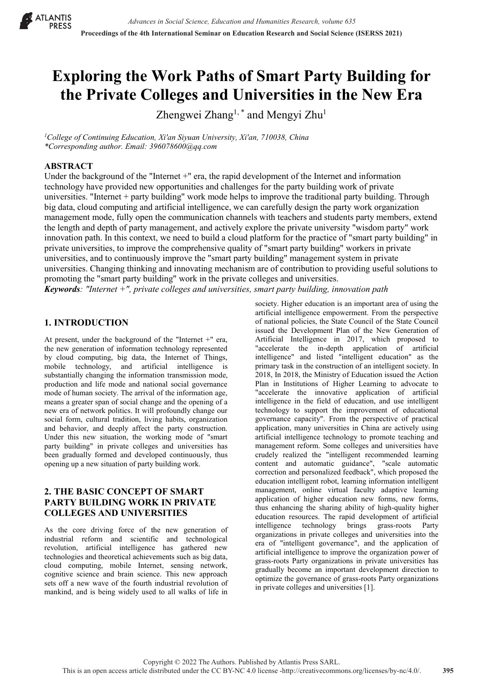

# **Exploring the Work Paths of Smart Party Building for the Private Colleges and Universities in the New Era**

Zhengwei Zhang<sup>1, \*</sup> and Mengyi Zhu<sup>1</sup>

*1 College of Continuing Education, Xi'an Siyuan University, Xi'an, 710038, China \*Corresponding author. Email: 396078600@qq.com*

#### **ABSTRACT**

Under the background of the "Internet +" era, the rapid development of the Internet and information technology have provided new opportunities and challenges for the party building work of private universities. "Internet + party building" work mode helps to improve the traditional party building. Through big data, cloud computing and artificial intelligence, we can carefully design the party work organization management mode, fully open the communication channels with teachers and students party members, extend the length and depth of party management, and actively explore the private university "wisdom party" work innovation path. In this context, we need to build a cloud platform for the practice of "smart party building" in private universities, to improve the comprehensive quality of "smart party building" workers in private universities, and to continuously improve the "smart party building" management system in private universities. Changing thinking and innovating mechanism are of contribution to providing useful solutions to promoting the "smart party building" work in the private colleges and universities. *Keywords: "Internet +", private colleges and universities, smart party building, innovation path*

#### **1. INTRODUCTION**

At present, under the background of the "Internet +" era, the new generation of information technology represented by cloud computing, big data, the Internet of Things, mobile technology, and artificial intelligence is substantially changing the information transmission mode, production and life mode and national social governance mode of human society. The arrival of the information age, means a greater span of social change and the opening of a new era of network politics. It will profoundly change our social form, cultural tradition, living habits, organization and behavior, and deeply affect the party construction. Under this new situation, the working mode of "smart party building" in private colleges and universities has been gradually formed and developed continuously, thus opening up a new situation of party building work.

## **2. THE BASIC CONCEPT OF SMART PARTY BUILDING WORK IN PRIVATE COLLEGES AND UNIVERSITIES**

As the core driving force of the new generation of industrial reform and scientific and technological revolution, artificial intelligence has gathered new technologies and theoretical achievements such as big data, cloud computing, mobile Internet, sensing network, cognitive science and brain science. This new approach sets off a new wave of the fourth industrial revolution of mankind, and is being widely used to all walks of life in society. Higher education is an important area of using the artificial intelligence empowerment. From the perspective of national policies, the State Council of the State Council issued the Development Plan of the New Generation of Artificial Intelligence in 2017, which proposed to "accelerate the in-depth application of artificial intelligence" and listed "intelligent education" as the primary task in the construction of an intelligent society. In 2018, In 2018, the Ministry of Education issued the Action Plan in Institutions of Higher Learning to advocate to "accelerate the innovative application of artificial intelligence in the field of education, and use intelligent technology to support the improvement of educational governance capacity". From the perspective of practical application, many universities in China are actively using artificial intelligence technology to promote teaching and management reform. Some colleges and universities have crudely realized the "intelligent recommended learning content and automatic guidance", "scale automatic correction and personalized feedback", which proposed the education intelligent robot, learning information intelligent management, online virtual faculty adaptive learning application of higher education new forms, new forms, thus enhancing the sharing ability of high-quality higher education resources. The rapid development of artificial intelligence technology brings grass-roots Party organizations in private colleges and universities into the era of "intelligent governance", and the application of artificial intelligence to improve the organization power of grass-roots Party organizations in private universities has gradually become an important development direction to optimize the governance of grass-roots Party organizations in private colleges and universities [1].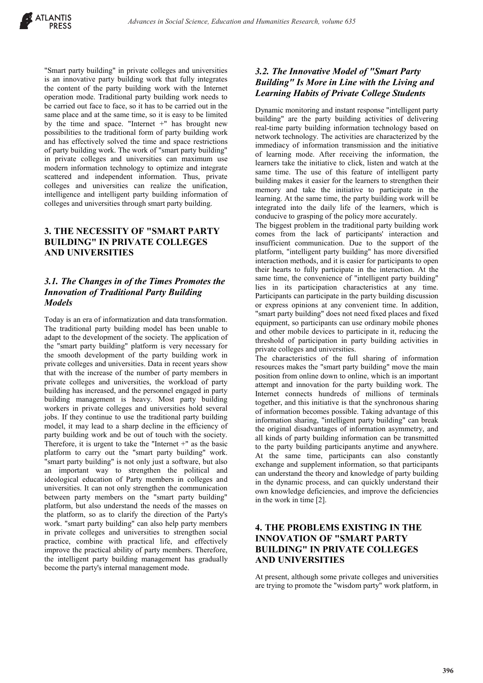"Smart party building" in private colleges and universities is an innovative party building work that fully integrates the content of the party building work with the Internet operation mode. Traditional party building work needs to be carried out face to face, so it has to be carried out in the same place and at the same time, so it is easy to be limited by the time and space. "Internet +" has brought new possibilities to the traditional form of party building work and has effectively solved the time and space restrictions of party building work. The work of "smart party building" in private colleges and universities can maximum use modern information technology to optimize and integrate scattered and independent information. Thus, private colleges and universities can realize the unification, intelligence and intelligent party building information of colleges and universities through smart party building.

# **3. THE NECESSITY OF "SMART PARTY BUILDING" IN PRIVATE COLLEGES AND UNIVERSITIES**

## *3.1. The Changes in of the Times Promotes the Innovation of Traditional Party Building Models*

Today is an era of informatization and data transformation. The traditional party building model has been unable to adapt to the development of the society. The application of the "smart party building" platform is very necessary for the smooth development of the party building work in private colleges and universities. Data in recent years show that with the increase of the number of party members in private colleges and universities, the workload of party building has increased, and the personnel engaged in party building management is heavy. Most party building workers in private colleges and universities hold several jobs. If they continue to use the traditional party building model, it may lead to a sharp decline in the efficiency of party building work and be out of touch with the society. Therefore, it is urgent to take the "Internet +" as the basic platform to carry out the "smart party building" work. "smart party building" is not only just a software, but also an important way to strengthen the political and ideological education of Party members in colleges and universities. It can not only strengthen the communication between party members on the "smart party building" platform, but also understand the needs of the masses on the platform, so as to clarify the direction of the Party's work. "smart party building" can also help party members in private colleges and universities to strengthen social practice, combine with practical life, and effectively improve the practical ability of party members. Therefore, the intelligent party building management has gradually become the party's internal management mode.

# *3.2. The Innovative Model of "Smart Party Building" Is More in Line with the Living and Learning Habits of Private College Students*

Dynamic monitoring and instant response "intelligent party building" are the party building activities of delivering real-time party building information technology based on network technology. The activities are characterized by the immediacy of information transmission and the initiative of learning mode. After receiving the information, the learners take the initiative to click, listen and watch at the same time. The use of this feature of intelligent party building makes it easier for the learners to strengthen their memory and take the initiative to participate in the learning. At the same time, the party building work will be integrated into the daily life of the learners, which is conducive to grasping of the policy more accurately.

The biggest problem in the traditional party building work comes from the lack of participants' interaction and insufficient communication. Due to the support of the platform, "intelligent party building" has more diversified interaction methods, and it is easier for participants to open their hearts to fully participate in the interaction. At the same time, the convenience of "intelligent party building" lies in its participation characteristics at any time. Participants can participate in the party building discussion or express opinions at any convenient time. In addition, "smart party building" does not need fixed places and fixed equipment, so participants can use ordinary mobile phones and other mobile devices to participate in it, reducing the threshold of participation in party building activities in private colleges and universities.

The characteristics of the full sharing of information resources makes the "smart party building" move the main position from online down to online, which is an important attempt and innovation for the party building work. The Internet connects hundreds of millions of terminals together, and this initiative is that the synchronous sharing of information becomes possible. Taking advantage of this information sharing, "intelligent party building" can break the original disadvantages of information asymmetry, and all kinds of party building information can be transmitted to the party building participants anytime and anywhere. At the same time, participants can also constantly exchange and supplement information, so that participants can understand the theory and knowledge of party building in the dynamic process, and can quickly understand their own knowledge deficiencies, and improve the deficiencies in the work in time [2].

## **4. THE PROBLEMS EXISTING IN THE INNOVATION OF "SMART PARTY BUILDING" IN PRIVATE COLLEGES AND UNIVERSITIES**

At present, although some private colleges and universities are trying to promote the "wisdom party" work platform, in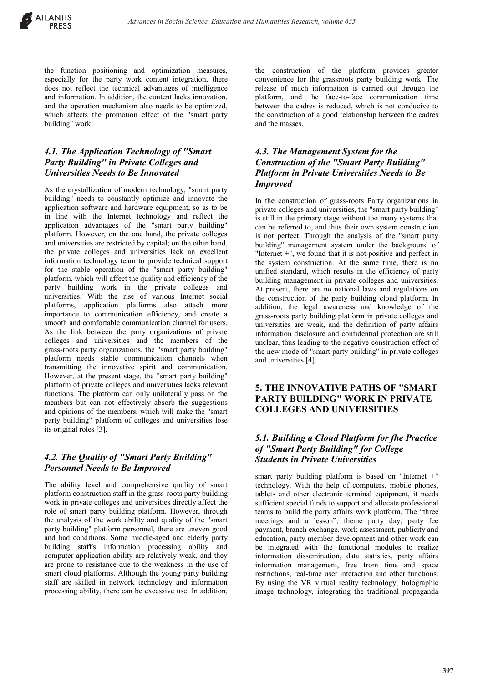the function positioning and optimization measures, especially for the party work content integration, there does not reflect the technical advantages of intelligence and information. In addition, the content lacks innovation, and the operation mechanism also needs to be optimized, which affects the promotion effect of the "smart party building" work.

#### *4.1. The Application Technology of "Smart Party Building" in Private Colleges and Universities Needs to Be Innovated*

As the crystallization of modern technology, "smart party building" needs to constantly optimize and innovate the application software and hardware equipment, so as to be in line with the Internet technology and reflect the application advantages of the "smart party building" platform. However, on the one hand, the private colleges and universities are restricted by capital; on the other hand, the private colleges and universities lack an excellent information technology team to provide technical support for the stable operation of the "smart party building" platform, which will affect the quality and efficiency of the party building work in the private colleges and universities. With the rise of various Internet social platforms, application platforms also attach more importance to communication efficiency, and create a smooth and comfortable communication channel for users. As the link between the party organizations of private colleges and universities and the members of the grass-roots party organizations, the "smart party building" platform needs stable communication channels when transmitting the innovative spirit and communication. However, at the present stage, the "smart party building" platform of private colleges and universities lacks relevant functions. The platform can only unilaterally pass on the members but can not effectively absorb the suggestions and opinions of the members, which will make the "smart party building" platform of colleges and universities lose its original roles [3].

#### *4.2. The Quality of "Smart Party Building" Personnel Needs to Be Improved*

The ability level and comprehensive quality of smart platform construction staff in the grass-roots party building work in private colleges and universities directly affect the role of smart party building platform. However, through the analysis of the work ability and quality of the "smart party building" platform personnel, there are uneven good and bad conditions. Some middle-aged and elderly party building staff's information processing ability and computer application ability are relatively weak, and they are prone to resistance due to the weakness in the use of smart cloud platforms. Although the young party building staff are skilled in network technology and information processing ability, there can be excessive use. In addition, the construction of the platform provides greater convenience for the grassroots party building work. The release of much information is carried out through the platform, and the face-to-face communication time between the cadres is reduced, which is not conducive to the construction of a good relationship between the cadres and the masses.

## *4.3. The Management System for the Construction of the "Smart Party Building" Platform in Private Universities Needs to Be Improved*

In the construction of grass-roots Party organizations in private colleges and universities, the "smart party building" is still in the primary stage without too many systems that can be referred to, and thus their own system construction is not perfect. Through the analysis of the "smart party building" management system under the background of "Internet +", we found that it is not positive and perfect in the system construction. At the same time, there is no unified standard, which results in the efficiency of party building management in private colleges and universities. At present, there are no national laws and regulations on the construction of the party building cloud platform. In addition, the legal awareness and knowledge of the grass-roots party building platform in private colleges and universities are weak, and the definition of party affairs information disclosure and confidential protection are still unclear, thus leading to the negative construction effect of the new mode of "smart party building" in private colleges and universities [4].

## **5. THE INNOVATIVE PATHS OF "SMART PARTY BUILDING" WORK IN PRIVATE COLLEGES AND UNIVERSITIES**

# *5.1. Building a Cloud Platform for fhe Practice of "Smart Party Building" for College Students in Private Universities*

smart party building platform is based on "Internet +" technology. With the help of computers, mobile phones, tablets and other electronic terminal equipment, it needs sufficient special funds to support and allocate professional teams to build the party affairs work platform. The "three meetings and a lesson", theme party day, party fee payment, branch exchange, work assessment, publicity and education, party member development and other work can be integrated with the functional modules to realize information dissemination, data statistics, party affairs information management, free from time and space restrictions, real-time user interaction and other functions. By using the VR virtual reality technology, holographic image technology, integrating the traditional propaganda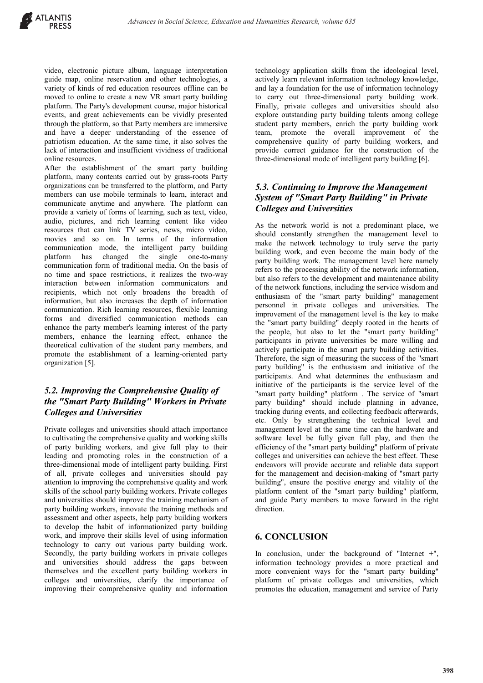video, electronic picture album, language interpretation guide map, online reservation and other technologies, a variety of kinds of red education resources offline can be moved to online to create a new VR smart party building platform. The Party's development course, major historical events, and great achievements can be vividly presented through the platform, so that Party members are immersive and have a deeper understanding of the essence of patriotism education. At the same time, it also solves the lack of interaction and insufficient vividness of traditional online resources.

After the establishment of the smart party building platform, many contents carried out by grass-roots Party organizations can be transferred to the platform, and Party members can use mobile terminals to learn, interact and communicate anytime and anywhere. The platform can provide a variety of forms of learning, such as text, video, audio, pictures, and rich learning content like video resources that can link TV series, news, micro video, movies and so on. In terms of the information communication mode, the intelligent party building platform has changed the single one-to-many communication form of traditional media. On the basis of no time and space restrictions, it realizes the two-way interaction between information communicators and recipients, which not only broadens the breadth of information, but also increases the depth of information communication. Rich learning resources, flexible learning forms and diversified communication methods can enhance the party member's learning interest of the party members, enhance the learning effect, enhance the theoretical cultivation of the student party members, and promote the establishment of a learning-oriented party organization [5].

## *5.2. Improving the Comprehensive Quality of the "Smart Party Building" Workers in Private Colleges and Universities*

Private colleges and universities should attach importance to cultivating the comprehensive quality and working skills of party building workers, and give full play to their leading and promoting roles in the construction of a three-dimensional mode of intelligent party building. First of all, private colleges and universities should pay attention to improving the comprehensive quality and work skills of the school party building workers. Private colleges and universities should improve the training mechanism of party building workers, innovate the training methods and assessment and other aspects, help party building workers to develop the habit of informationized party building work, and improve their skills level of using information technology to carry out various party building work. Secondly, the party building workers in private colleges and universities should address the gaps between themselves and the excellent party building workers in colleges and universities, clarify the importance of improving their comprehensive quality and information technology application skills from the ideological level, actively learn relevant information technology knowledge, and lay a foundation for the use of information technology to carry out three-dimensional party building work. Finally, private colleges and universities should also explore outstanding party building talents among college student party members, enrich the party building work team, promote the overall improvement of the comprehensive quality of party building workers, and provide correct guidance for the construction of the three-dimensional mode of intelligent party building [6].

## *5.3. Continuing to Improve the Management System of "Smart Party Building" in Private Colleges and Universities*

As the network world is not a predominant place, we should constantly strengthen the management level to make the network technology to truly serve the party building work, and even become the main body of the party building work. The management level here namely refers to the processing ability of the network information, but also refers to the development and maintenance ability of the network functions, including the service wisdom and enthusiasm of the "smart party building" management personnel in private colleges and universities. The improvement of the management level is the key to make the "smart party building" deeply rooted in the hearts of the people, but also to let the "smart party building" participants in private universities be more willing and actively participate in the smart party building activities. Therefore, the sign of measuring the success of the "smart party building" is the enthusiasm and initiative of the participants. And what determines the enthusiasm and initiative of the participants is the service level of the "smart party building" platform . The service of "smart party building" should include planning in advance, tracking during events, and collecting feedback afterwards, etc. Only by strengthening the technical level and management level at the same time can the hardware and software level be fully given full play, and then the efficiency of the "smart party building" platform of private colleges and universities can achieve the best effect. These endeavors will provide accurate and reliable data support for the management and decision-making of "smart party building", ensure the positive energy and vitality of the platform content of the "smart party building" platform, and guide Party members to move forward in the right direction.

#### **6. CONCLUSION**

In conclusion, under the background of "Internet +", information technology provides a more practical and more convenient ways for the "smart party building" platform of private colleges and universities, which promotes the education, management and service of Party